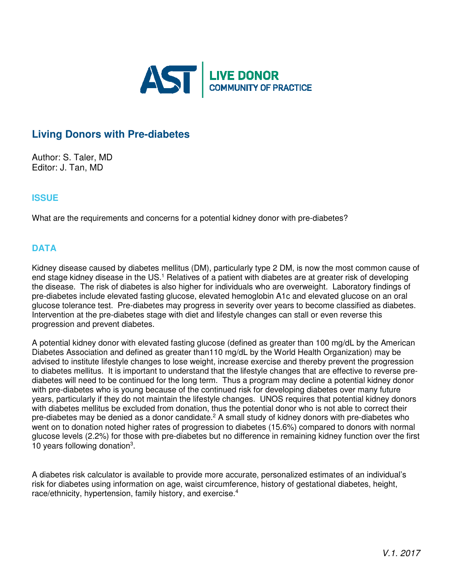

# **Living Donors with Pre-diabetes**

Author: S. Taler, MD Editor: J. Tan, MD

## **ISSUE**

What are the requirements and concerns for a potential kidney donor with pre-diabetes?

## **DATA**

Kidney disease caused by diabetes mellitus (DM), particularly type 2 DM, is now the most common cause of end stage kidney disease in the US.<sup>1</sup> Relatives of a patient with diabetes are at greater risk of developing the disease. The risk of diabetes is also higher for individuals who are overweight. Laboratory findings of pre-diabetes include elevated fasting glucose, elevated hemoglobin A1c and elevated glucose on an oral glucose tolerance test. Pre-diabetes may progress in severity over years to become classified as diabetes. Intervention at the pre-diabetes stage with diet and lifestyle changes can stall or even reverse this progression and prevent diabetes.

A potential kidney donor with elevated fasting glucose (defined as greater than 100 mg/dL by the American Diabetes Association and defined as greater than110 mg/dL by the World Health Organization) may be advised to institute lifestyle changes to lose weight, increase exercise and thereby prevent the progression to diabetes mellitus. It is important to understand that the lifestyle changes that are effective to reverse prediabetes will need to be continued for the long term. Thus a program may decline a potential kidney donor with pre-diabetes who is young because of the continued risk for developing diabetes over many future years, particularly if they do not maintain the lifestyle changes. UNOS requires that potential kidney donors with diabetes mellitus be excluded from donation, thus the potential donor who is not able to correct their pre-diabetes may be denied as a donor candidate.<sup>2</sup> A small study of kidney donors with pre-diabetes who went on to donation noted higher rates of progression to diabetes (15.6%) compared to donors with normal glucose levels (2.2%) for those with pre-diabetes but no difference in remaining kidney function over the first 10 years following donation<sup>3</sup>.

A diabetes risk calculator is available to provide more accurate, personalized estimates of an individual's risk for diabetes using information on age, waist circumference, history of gestational diabetes, height, race/ethnicity, hypertension, family history, and exercise.<sup>4</sup>